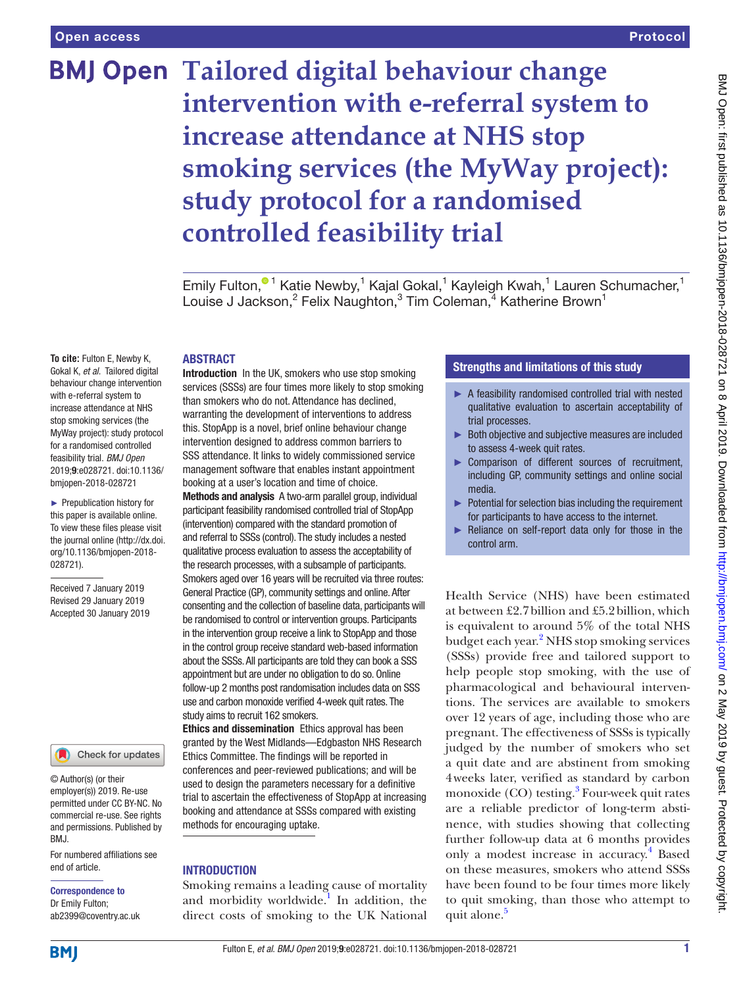# **BMJ Open Tailored digital behaviour change intervention with e-referral system to increase attendance at NHS stop smoking services (the MyWay project): study protocol for a randomised controlled feasibility trial**

Emily Fulton[,](http://orcid.org/0000-0002-5979-3207)<sup>® 1</sup> Katie Newby,<sup>1</sup> Kajal Gokal,<sup>1</sup> Kayleigh Kwah,<sup>1</sup> Lauren Schumacher,<sup>1</sup> Louise J Jackson,<sup>2</sup> Felix Naughton,<sup>3</sup> Tim Coleman,<sup>4</sup> Katherine Brown<sup>1</sup>

#### **ABSTRACT**

**To cite:** Fulton E, Newby K, Gokal K, *et al*. Tailored digital behaviour change intervention with e-referral system to increase attendance at NHS stop smoking services (the MyWay project): study protocol for a randomised controlled feasibility trial. *BMJ Open* 2019;9:e028721. doi:10.1136/ bmjopen-2018-028721

► Prepublication history for this paper is available online. To view these files please visit the journal online [\(http://dx.doi.](http://dx.doi.org/10.1136/bmjopen-2018-028721) [org/10.1136/bmjopen-2018-](http://dx.doi.org/10.1136/bmjopen-2018-028721) [028721\)](http://dx.doi.org/10.1136/bmjopen-2018-028721).

Received 7 January 2019 Revised 29 January 2019 Accepted 30 January 2019



© Author(s) (or their employer(s)) 2019. Re-use permitted under CC BY-NC. No commercial re-use. See rights and permissions. Published by BMJ.

For numbered affiliations see end of article.

Correspondence to Dr Emily Fulton; ab2399@coventry.ac.uk Introduction In the UK, smokers who use stop smoking services (SSSs) are four times more likely to stop smoking than smokers who do not. Attendance has declined, warranting the development of interventions to address this. StopApp is a novel, brief online behaviour change intervention designed to address common barriers to SSS attendance. It links to widely commissioned service management software that enables instant appointment booking at a user's location and time of choice.

Methods and analysis A two-arm parallel group, individual participant feasibility randomised controlled trial of StopApp (intervention) compared with the standard promotion of and referral to SSSs (control). The study includes a nested qualitative process evaluation to assess the acceptability of the research processes, with a subsample of participants. Smokers aged over 16 years will be recruited via three routes: General Practice (GP), community settings and online. After consenting and the collection of baseline data, participants will be randomised to control or intervention groups. Participants in the intervention group receive a link to StopApp and those in the control group receive standard web-based information about the SSSs. All participants are told they can book a SSS appointment but are under no obligation to do so. Online follow-up 2 months post randomisation includes data on SSS use and carbon monoxide verified 4-week quit rates. The study aims to recruit 162 smokers.

Ethics and dissemination Ethics approval has been granted by the West Midlands—Edgbaston NHS Research Ethics Committee. The findings will be reported in conferences and peer-reviewed publications; and will be used to design the parameters necessary for a definitive trial to ascertain the effectiveness of StopApp at increasing booking and attendance at SSSs compared with existing methods for encouraging uptake.

#### **INTRODUCTION**

Smoking remains a leading cause of mortality and morbidity worldwide.<sup>[1](#page-5-0)</sup> In addition, the direct costs of smoking to the UK National

# Strengths and limitations of this study

- ► A feasibility randomised controlled trial with nested qualitative evaluation to ascertain acceptability of trial processes.
- ► Both objective and subjective measures are included to assess 4-week quit rates.
- ► Comparison of different sources of recruitment, including GP, community settings and online social media.
- ► Potential for selection bias including the requirement for participants to have access to the internet.
- ► Reliance on self-report data only for those in the control arm.

Health Service (NHS) have been estimated at between £2.7billion and £5.2billion, which is equivalent to around 5% of the total NHS budget each year.<sup>[2](#page-5-1)</sup> NHS stop smoking services (SSSs) provide free and tailored support to help people stop smoking, with the use of pharmacological and behavioural interventions. The services are available to smokers over 12 years of age, including those who are pregnant. The effectiveness of SSSs is typically judged by the number of smokers who set a quit date and are abstinent from smoking 4weeks later, verified as standard by carbon monoxide (CO) testing.<sup>[3](#page-5-2)</sup> Four-week quit rates are a reliable predictor of long-term abstinence, with studies showing that collecting further follow-up data at 6 months provides only a modest increase in accuracy.<sup>[4](#page-5-3)</sup> Based on these measures, smokers who attend SSSs have been found to be four times more likely to quit smoking, than those who attempt to quit alone.<sup>5</sup>

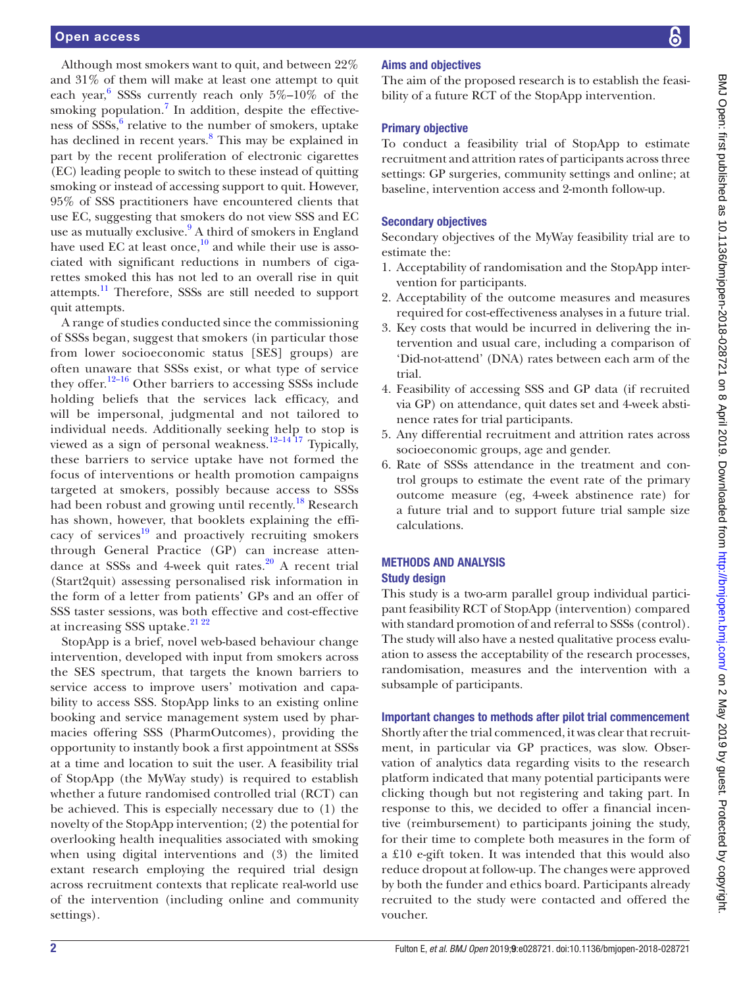Although most smokers want to quit, and between 22% and 31% of them will make at least one attempt to quit each year, <sup>[6](#page-6-0)</sup> SSSs currently reach only  $5\%$ -10% of the smoking population.<sup>[7](#page-6-1)</sup> In addition, despite the effective-ness of SSSs,<sup>[6](#page-6-0)</sup> relative to the number of smokers, uptake has declined in recent years.<sup>[8](#page-6-2)</sup> This may be explained in part by the recent proliferation of electronic cigarettes (EC) leading people to switch to these instead of quitting smoking or instead of accessing support to quit. However, 95% of SSS practitioners have encountered clients that use EC, suggesting that smokers do not view SSS and EC use as mutually exclusive.<sup>[9](#page-6-3)</sup> A third of smokers in England have used EC at least once, $^{10}$  and while their use is associated with significant reductions in numbers of cigarettes smoked this has not led to an overall rise in quit attempts.<sup>11</sup> Therefore, SSSs are still needed to support quit attempts.

A range of studies conducted since the commissioning of SSSs began, suggest that smokers (in particular those from lower socioeconomic status [SES] groups) are often unaware that SSSs exist, or what type of service they offer.[12–16](#page-6-6) Other barriers to accessing SSSs include holding beliefs that the services lack efficacy, and will be impersonal, judgmental and not tailored to individual needs. Additionally seeking help to stop is viewed as a sign of personal weakness.<sup>12-14 17</sup> Typically, these barriers to service uptake have not formed the focus of interventions or health promotion campaigns targeted at smokers, possibly because access to SSSs had been robust and growing until recently.<sup>18</sup> Research has shown, however, that booklets explaining the effi-cacy of services<sup>[19](#page-6-8)</sup> and proactively recruiting smokers through General Practice (GP) can increase atten-dance at SSSs and 4-week quit rates.<sup>[20](#page-6-9)</sup> A recent trial (Start2quit) assessing personalised risk information in the form of a letter from patients' GPs and an offer of SSS taster sessions, was both effective and cost-effective at increasing SSS uptake.<sup>21</sup><sup>22</sup>

StopApp is a brief, novel web-based behaviour change intervention, developed with input from smokers across the SES spectrum, that targets the known barriers to service access to improve users' motivation and capability to access SSS. StopApp links to an existing online booking and service management system used by pharmacies offering SSS (PharmOutcomes), providing the opportunity to instantly book a first appointment at SSSs at a time and location to suit the user. A feasibility trial of StopApp (the MyWay study) is required to establish whether a future randomised controlled trial (RCT) can be achieved. This is especially necessary due to (1) the novelty of the StopApp intervention; (2) the potential for overlooking health inequalities associated with smoking when using digital interventions and (3) the limited extant research employing the required trial design across recruitment contexts that replicate real-world use of the intervention (including online and community settings).

# Aims and objectives

The aim of the proposed research is to establish the feasibility of a future RCT of the StopApp intervention.

#### Primary objective

To conduct a feasibility trial of StopApp to estimate recruitment and attrition rates of participants across three settings: GP surgeries, community settings and online; at baseline, intervention access and 2-month follow-up.

#### Secondary objectives

Secondary objectives of the MyWay feasibility trial are to estimate the:

- 1. Acceptability of randomisation and the StopApp intervention for participants.
- 2. Acceptability of the outcome measures and measures required for cost-effectiveness analyses in a future trial.
- 3. Key costs that would be incurred in delivering the intervention and usual care, including a comparison of 'Did-not-attend' (DNA) rates between each arm of the trial.
- 4. Feasibility of accessing SSS and GP data (if recruited via GP) on attendance, quit dates set and 4-week abstinence rates for trial participants.
- 5. Any differential recruitment and attrition rates across socioeconomic groups, age and gender.
- 6. Rate of SSSs attendance in the treatment and control groups to estimate the event rate of the primary outcome measure (eg, 4-week abstinence rate) for a future trial and to support future trial sample size calculations.

# Methods and analysis Study design

This study is a two-arm parallel group individual participant feasibility RCT of StopApp (intervention) compared with standard promotion of and referral to SSSs (control). The study will also have a nested qualitative process evaluation to assess the acceptability of the research processes, randomisation, measures and the intervention with a subsample of participants.

#### Important changes to methods after pilot trial commencement

Shortly after the trial commenced, it was clear that recruitment, in particular via GP practices, was slow. Observation of analytics data regarding visits to the research platform indicated that many potential participants were clicking though but not registering and taking part. In response to this, we decided to offer a financial incentive (reimbursement) to participants joining the study, for their time to complete both measures in the form of a £10 e-gift token. It was intended that this would also reduce dropout at follow-up. The changes were approved by both the funder and ethics board. Participants already recruited to the study were contacted and offered the voucher.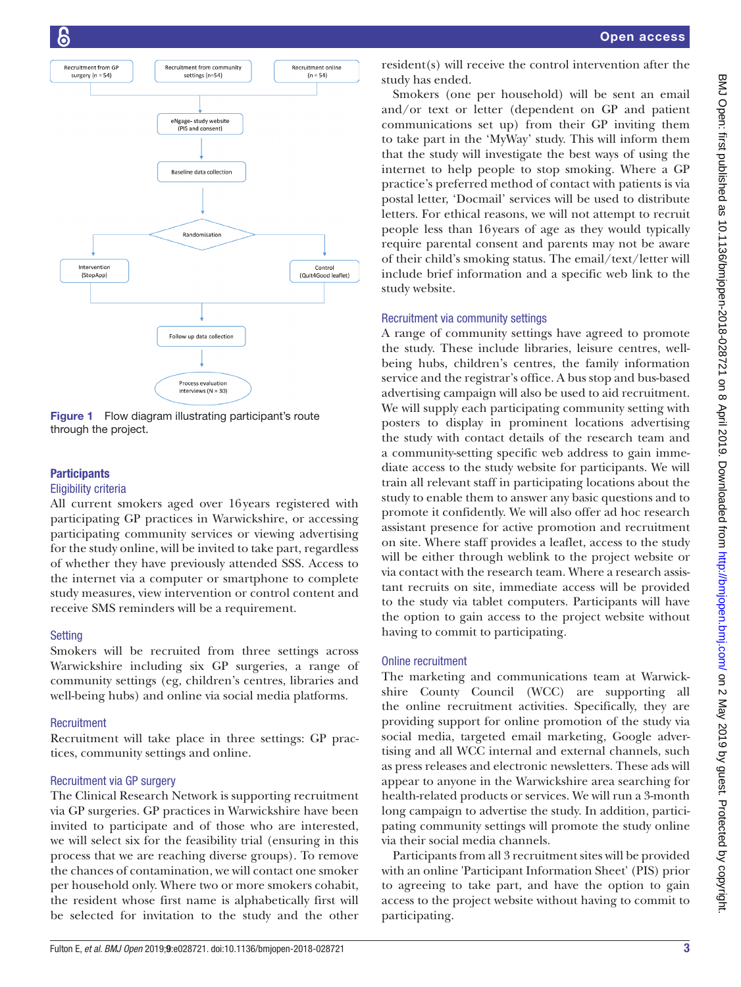

<span id="page-2-0"></span>Figure 1 Flow diagram illustrating participant's route through the project.

# **Participants**

#### Eligibility criteria

All current smokers aged over 16years registered with participating GP practices in Warwickshire, or accessing participating community services or viewing advertising for the study online, will be invited to take part, regardless of whether they have previously attended SSS. Access to the internet via a computer or smartphone to complete study measures, view intervention or control content and receive SMS reminders will be a requirement.

#### **Setting**

Smokers will be recruited from three settings across Warwickshire including six GP surgeries, a range of community settings (eg, children's centres, libraries and well-being hubs) and online via social media platforms.

#### **Recruitment**

Recruitment will take place in three settings: GP practices, community settings and online.

#### Recruitment via GP surgery

The Clinical Research Network is supporting recruitment via GP surgeries. GP practices in Warwickshire have been invited to participate and of those who are interested, we will select six for the feasibility trial (ensuring in this process that we are reaching diverse groups). To remove the chances of contamination, we will contact one smoker per household only. Where two or more smokers cohabit, the resident whose first name is alphabetically first will be selected for invitation to the study and the other

resident(s) will receive the control intervention after the study has ended.

Smokers (one per household) will be sent an email and/or text or letter (dependent on GP and patient communications set up) from their GP inviting them to take part in the 'MyWay' study. This will inform them that the study will investigate the best ways of using the internet to help people to stop smoking. Where a GP practice's preferred method of contact with patients is via postal letter, 'Docmail' services will be used to distribute letters. For ethical reasons, we will not attempt to recruit people less than 16years of age as they would typically require parental consent and parents may not be aware of their child's smoking status. The email/text/letter will include brief information and a specific web link to the study website.

### Recruitment via community settings

A range of community settings have agreed to promote the study. These include libraries, leisure centres, wellbeing hubs, children's centres, the family information service and the registrar's office. A bus stop and bus-based advertising campaign will also be used to aid recruitment. We will supply each participating community setting with posters to display in prominent locations advertising the study with contact details of the research team and a community-setting specific web address to gain immediate access to the study website for participants. We will train all relevant staff in participating locations about the study to enable them to answer any basic questions and to promote it confidently. We will also offer ad hoc research assistant presence for active promotion and recruitment on site. Where staff provides a leaflet, access to the study will be either through weblink to the project website or via contact with the research team. Where a research assistant recruits on site, immediate access will be provided to the study via tablet computers. Participants will have the option to gain access to the project website without having to commit to participating.

# Online recruitment

The marketing and communications team at Warwickshire County Council (WCC) are supporting all the online recruitment activities. Specifically, they are providing support for online promotion of the study via social media, targeted email marketing, Google advertising and all WCC internal and external channels, such as press releases and electronic newsletters. These ads will appear to anyone in the Warwickshire area searching for health-related products or services. We will run a 3-month long campaign to advertise the study. In addition, participating community settings will promote the study online via their social media channels.

Participants from all 3 recruitment sites will be provided with an online 'Participant Information Sheet' (PIS) prior to agreeing to take part, and have the option to gain access to the project website without having to commit to participating.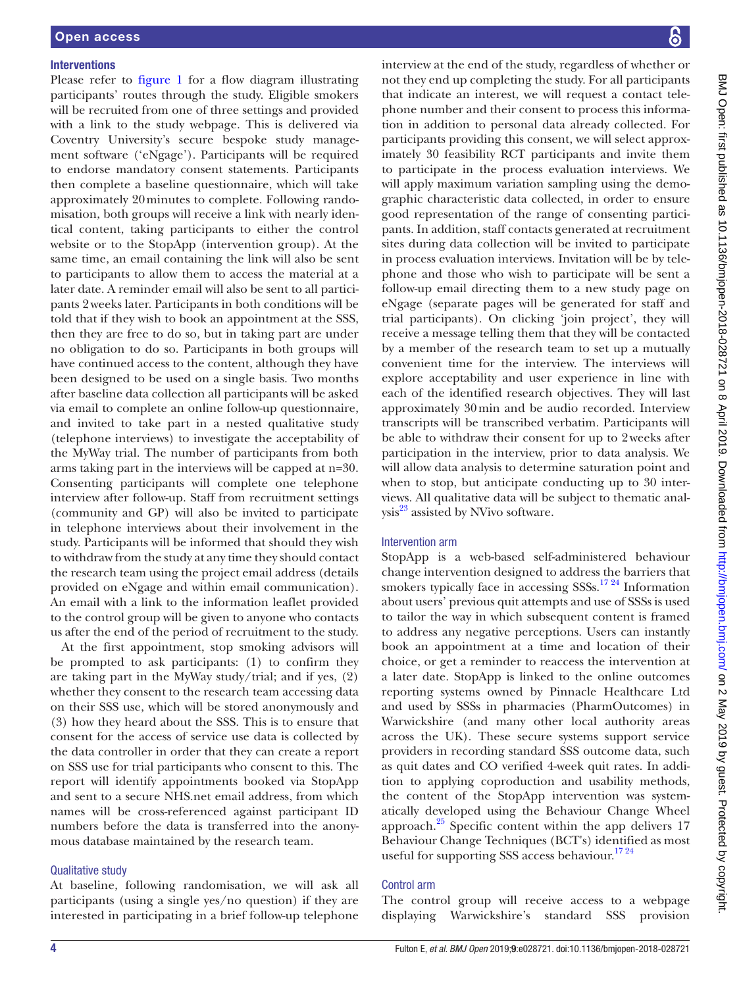#### Interventions

Please refer to [figure](#page-2-0) 1 for a flow diagram illustrating participants' routes through the study. Eligible smokers will be recruited from one of three settings and provided with a link to the study webpage. This is delivered via Coventry University's secure bespoke study management software ('eNgage'). Participants will be required to endorse mandatory consent statements. Participants then complete a baseline questionnaire, which will take approximately 20minutes to complete. Following randomisation, both groups will receive a link with nearly identical content, taking participants to either the control website or to the StopApp (intervention group). At the same time, an email containing the link will also be sent to participants to allow them to access the material at a later date. A reminder email will also be sent to all participants 2weeks later. Participants in both conditions will be told that if they wish to book an appointment at the SSS, then they are free to do so, but in taking part are under no obligation to do so. Participants in both groups will have continued access to the content, although they have been designed to be used on a single basis. Two months after baseline data collection all participants will be asked via email to complete an online follow-up questionnaire, and invited to take part in a nested qualitative study (telephone interviews) to investigate the acceptability of the MyWay trial. The number of participants from both arms taking part in the interviews will be capped at n=30. Consenting participants will complete one telephone interview after follow-up. Staff from recruitment settings (community and GP) will also be invited to participate in telephone interviews about their involvement in the study. Participants will be informed that should they wish to withdraw from the study at any time they should contact the research team using the project email address (details provided on eNgage and within email communication). An email with a link to the information leaflet provided to the control group will be given to anyone who contacts us after the end of the period of recruitment to the study.

At the first appointment, stop smoking advisors will be prompted to ask participants: (1) to confirm they are taking part in the MyWay study/trial; and if yes, (2) whether they consent to the research team accessing data on their SSS use, which will be stored anonymously and (3) how they heard about the SSS. This is to ensure that consent for the access of service use data is collected by the data controller in order that they can create a report on SSS use for trial participants who consent to this. The report will identify appointments booked via StopApp and sent to a secure NHS.net email address, from which names will be cross-referenced against participant ID numbers before the data is transferred into the anonymous database maintained by the research team.

#### Qualitative study

At baseline, following randomisation, we will ask all participants (using a single yes/no question) if they are interested in participating in a brief follow-up telephone

interview at the end of the study, regardless of whether or not they end up completing the study. For all participants that indicate an interest, we will request a contact telephone number and their consent to process this information in addition to personal data already collected. For participants providing this consent, we will select approximately 30 feasibility RCT participants and invite them to participate in the process evaluation interviews. We will apply maximum variation sampling using the demographic characteristic data collected, in order to ensure good representation of the range of consenting participants. In addition, staff contacts generated at recruitment sites during data collection will be invited to participate in process evaluation interviews. Invitation will be by telephone and those who wish to participate will be sent a follow-up email directing them to a new study page on eNgage (separate pages will be generated for staff and trial participants). On clicking 'join project', they will receive a message telling them that they will be contacted by a member of the research team to set up a mutually convenient time for the interview. The interviews will explore acceptability and user experience in line with each of the identified research objectives. They will last approximately 30min and be audio recorded. Interview transcripts will be transcribed verbatim. Participants will be able to withdraw their consent for up to 2weeks after participation in the interview, prior to data analysis. We will allow data analysis to determine saturation point and when to stop, but anticipate conducting up to 30 interviews. All qualitative data will be subject to thematic analysis<sup>23</sup> assisted by NVivo software.

#### Intervention arm

StopApp is a web-based self-administered behaviour change intervention designed to address the barriers that smokers typically face in accessing SSSs.<sup>17 24</sup> Information about users' previous quit attempts and use of SSSs is used to tailor the way in which subsequent content is framed to address any negative perceptions. Users can instantly book an appointment at a time and location of their choice, or get a reminder to reaccess the intervention at a later date. StopApp is linked to the online outcomes reporting systems owned by Pinnacle Healthcare Ltd and used by SSSs in pharmacies (PharmOutcomes) in Warwickshire (and many other local authority areas across the UK). These secure systems support service providers in recording standard SSS outcome data, such as quit dates and CO verified 4-week quit rates. In addition to applying coproduction and usability methods, the content of the StopApp intervention was systematically developed using the Behaviour Change Wheel approach. $^{25}$  Specific content within the app delivers 17 Behaviour Change Techniques (BCT's) identified as most useful for supporting SSS access behaviour.<sup>1724</sup>

## Control arm

The control group will receive access to a webpage displaying Warwickshire's standard SSS provision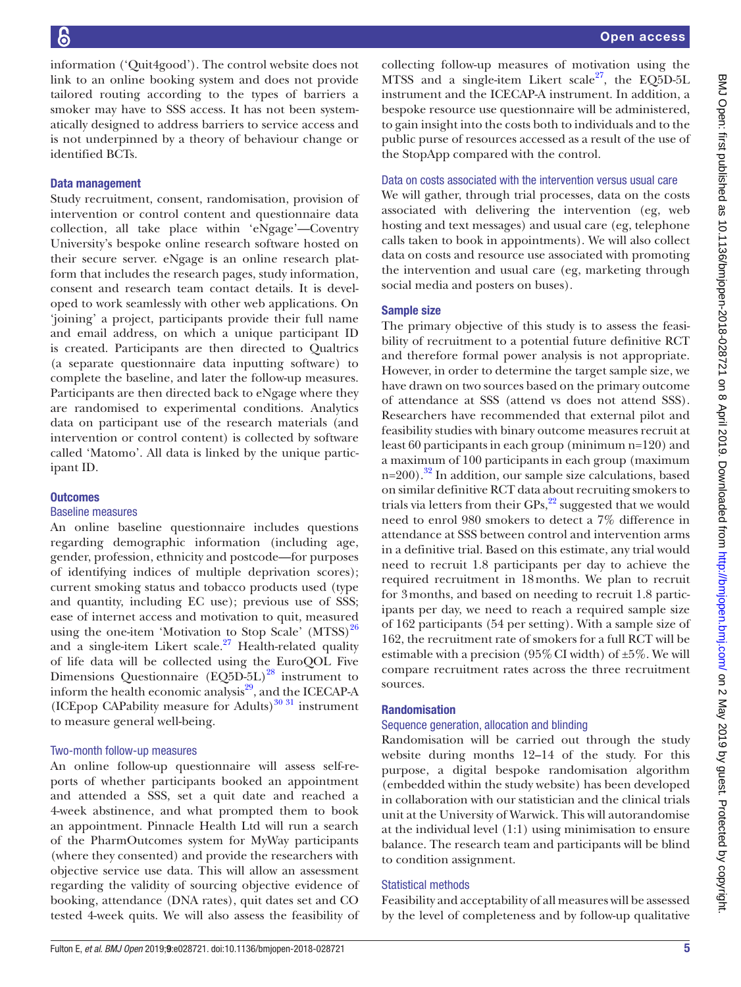BMJ Open: first published as 10.1136/bmjopen-2018-028721 on 8 April 2019. Downloaded from http://bmjopen.bmj.com/ on 2 May 2019 by guest. Protected by copyright BMJ Open: first published as 10.1136/bmjopen-2018-028721 on 8 April 2019. Downloaded from <http://bmjopen.bmj.com/> on 2 May 2019 by guest. Protected by copyright.

information ('Quit4good'). The control website does not link to an online booking system and does not provide tailored routing according to the types of barriers a smoker may have to SSS access. It has not been systematically designed to address barriers to service access and is not underpinned by a theory of behaviour change or identified BCTs.

# Data management

Study recruitment, consent, randomisation, provision of intervention or control content and questionnaire data collection, all take place within 'eNgage'—Coventry University's bespoke online research software hosted on their secure server. eNgage is an online research platform that includes the research pages, study information, consent and research team contact details. It is developed to work seamlessly with other web applications. On 'joining' a project, participants provide their full name and email address, on which a unique participant ID is created. Participants are then directed to Qualtrics (a separate questionnaire data inputting software) to complete the baseline, and later the follow-up measures. Participants are then directed back to eNgage where they are randomised to experimental conditions. Analytics data on participant use of the research materials (and intervention or control content) is collected by software called 'Matomo'. All data is linked by the unique participant ID.

# **Outcomes**

# Baseline measures

An online baseline questionnaire includes questions regarding demographic information (including age, gender, profession, ethnicity and postcode—for purposes of identifying indices of multiple deprivation scores); current smoking status and tobacco products used (type and quantity, including EC use); previous use of SSS; ease of internet access and motivation to quit, measured using the one-item 'Motivation to Stop Scale'  $(MTSS)^{26}$  $(MTSS)^{26}$  $(MTSS)^{26}$ and a single-item Likert scale.<sup>[27](#page-6-15)</sup> Health-related quality of life data will be collected using the EuroQOL Five Dimensions Questionnaire (EQ5D-5L)<sup>28</sup> instrument to inform the health economic analysis $^{29}$ , and the ICECAP-A (ICEpop CAPability measure for Adults) $30$   $31$  instrument to measure general well-being.

# Two-month follow-up measures

An online follow-up questionnaire will assess self-reports of whether participants booked an appointment and attended a SSS, set a quit date and reached a 4-week abstinence, and what prompted them to book an appointment. Pinnacle Health Ltd will run a search of the PharmOutcomes system for MyWay participants (where they consented) and provide the researchers with objective service use data. This will allow an assessment regarding the validity of sourcing objective evidence of booking, attendance (DNA rates), quit dates set and CO tested 4-week quits. We will also assess the feasibility of

collecting follow-up measures of motivation using the MTSS and a single-item Likert scale<sup>[27](#page-6-15)</sup>, the EQ5D-5L instrument and the ICECAP-A instrument. In addition, a bespoke resource use questionnaire will be administered, to gain insight into the costs both to individuals and to the public purse of resources accessed as a result of the use of the StopApp compared with the control.

# Data on costs associated with the intervention versus usual care

We will gather, through trial processes, data on the costs associated with delivering the intervention (eg, web hosting and text messages) and usual care (eg, telephone calls taken to book in appointments). We will also collect data on costs and resource use associated with promoting the intervention and usual care (eg, marketing through social media and posters on buses).

# Sample size

The primary objective of this study is to assess the feasibility of recruitment to a potential future definitive RCT and therefore formal power analysis is not appropriate. However, in order to determine the target sample size, we have drawn on two sources based on the primary outcome of attendance at SSS (attend vs does not attend SSS). Researchers have recommended that external pilot and feasibility studies with binary outcome measures recruit at least 60 participants in each group (minimum n=120) and a maximum of 100 participants in each group (maximum  $n=200$ .<sup>32</sup> In addition, our sample size calculations, based on similar definitive RCT data about recruiting smokers to trials via letters from their  $GPs<sub>1</sub><sup>22</sup>$  suggested that we would need to enrol 980 smokers to detect a 7% difference in attendance at SSS between control and intervention arms in a definitive trial. Based on this estimate, any trial would need to recruit 1.8 participants per day to achieve the required recruitment in 18months. We plan to recruit for 3months, and based on needing to recruit 1.8 participants per day, we need to reach a required sample size of 162 participants (54 per setting). With a sample size of 162, the recruitment rate of smokers for a full RCT will be estimable with a precision (95% CI width) of  $\pm 5\%$ . We will compare recruitment rates across the three recruitment sources.

# Randomisation

# Sequence generation, allocation and blinding

Randomisation will be carried out through the study website during months 12–14 of the study. For this purpose, a digital bespoke randomisation algorithm (embedded within the study website) has been developed in collaboration with our statistician and the clinical trials unit at the University of Warwick. This will autorandomise at the individual level (1:1) using minimisation to ensure balance. The research team and participants will be blind to condition assignment.

# Statistical methods

Feasibility and acceptability of all measures will be assessed by the level of completeness and by follow-up qualitative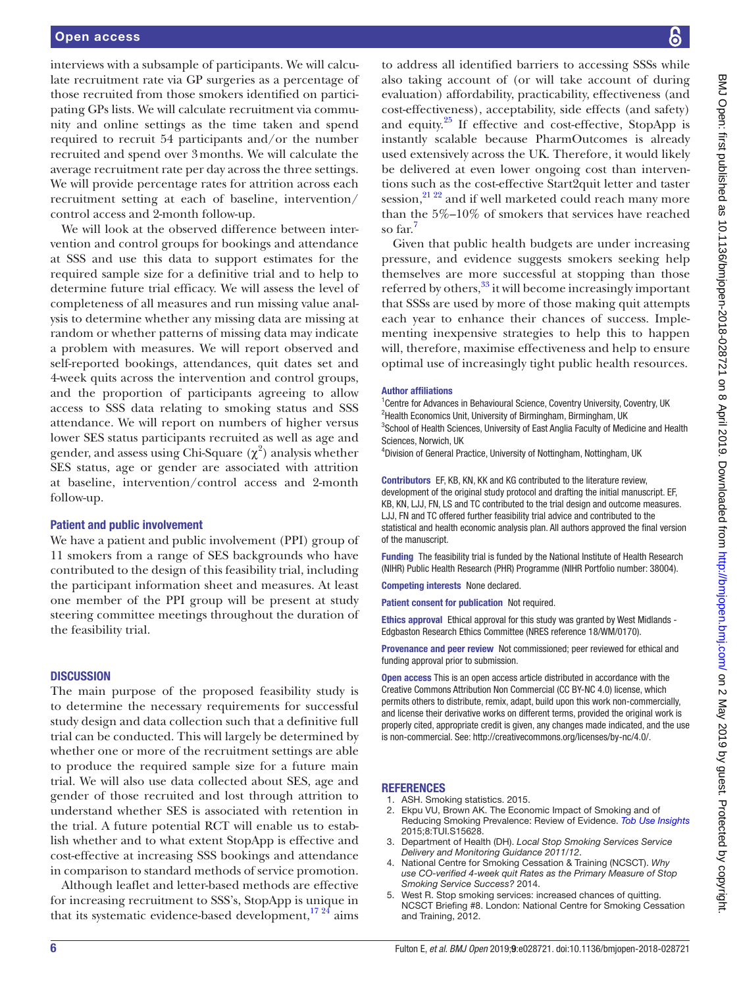interviews with a subsample of participants. We will calculate recruitment rate via GP surgeries as a percentage of those recruited from those smokers identified on participating GPs lists. We will calculate recruitment via community and online settings as the time taken and spend required to recruit 54 participants and/or the number recruited and spend over 3months. We will calculate the average recruitment rate per day across the three settings. We will provide percentage rates for attrition across each recruitment setting at each of baseline, intervention/ control access and 2-month follow-up.

We will look at the observed difference between intervention and control groups for bookings and attendance at SSS and use this data to support estimates for the required sample size for a definitive trial and to help to determine future trial efficacy. We will assess the level of completeness of all measures and run missing value analysis to determine whether any missing data are missing at random or whether patterns of missing data may indicate a problem with measures. We will report observed and self-reported bookings, attendances, quit dates set and 4-week quits across the intervention and control groups, and the proportion of participants agreeing to allow access to SSS data relating to smoking status and SSS attendance. We will report on numbers of higher versus lower SES status participants recruited as well as age and gender, and assess using Chi-Square  $(\chi^2)$  analysis whether SES status, age or gender are associated with attrition at baseline, intervention/control access and 2-month follow-up.

#### Patient and public involvement

We have a patient and public involvement (PPI) group of 11 smokers from a range of SES backgrounds who have contributed to the design of this feasibility trial, including the participant information sheet and measures. At least one member of the PPI group will be present at study steering committee meetings throughout the duration of the feasibility trial.

#### **DISCUSSION**

The main purpose of the proposed feasibility study is to determine the necessary requirements for successful study design and data collection such that a definitive full trial can be conducted. This will largely be determined by whether one or more of the recruitment settings are able to produce the required sample size for a future main trial. We will also use data collected about SES, age and gender of those recruited and lost through attrition to understand whether SES is associated with retention in the trial. A future potential RCT will enable us to establish whether and to what extent StopApp is effective and cost-effective at increasing SSS bookings and attendance in comparison to standard methods of service promotion.

Although leaflet and letter-based methods are effective for increasing recruitment to SSS's, StopApp is unique in that its systematic evidence-based development, $17\frac{24}{17}$  aims

to address all identified barriers to accessing SSSs while also taking account of (or will take account of during evaluation) affordability, practicability, effectiveness (and cost-effectiveness), acceptability, side effects (and safety) and equity. $25$  If effective and cost-effective, StopApp is instantly scalable because PharmOutcomes is already used extensively across the UK. Therefore, it would likely be delivered at even lower ongoing cost than interventions such as the cost-effective Start2quit letter and taster session,<sup>[21 22](#page-6-10)</sup> and if well marketed could reach many more than the 5%–10% of smokers that services have reached so far.<sup>[7](#page-6-1)</sup>

Given that public health budgets are under increasing pressure, and evidence suggests smokers seeking help themselves are more successful at stopping than those referred by others,<sup>33</sup> it will become increasingly important that SSSs are used by more of those making quit attempts each year to enhance their chances of success. Implementing inexpensive strategies to help this to happen will, therefore, maximise effectiveness and help to ensure optimal use of increasingly tight public health resources.

#### Author affiliations

<sup>1</sup> Centre for Advances in Behavioural Science, Coventry University, Coventry, UK <sup>2</sup>Health Economics Unit, University of Birmingham, Birmingham, UK <sup>3</sup>School of Health Sciences, University of East Anglia Faculty of Medicine and Health Sciences, Norwich, UK

4 Division of General Practice, University of Nottingham, Nottingham, UK

Contributors EF, KB, KN, KK and KG contributed to the literature review, development of the original study protocol and drafting the initial manuscript. EF, KB, KN, LJJ, FN, LS and TC contributed to the trial design and outcome measures. LJJ, FN and TC offered further feasibility trial advice and contributed to the statistical and health economic analysis plan. All authors approved the final version of the manuscript.

Funding The feasibility trial is funded by the National Institute of Health Research (NIHR) Public Health Research (PHR) Programme (NIHR Portfolio number: 38004).

Competing interests None declared.

Patient consent for publication Not required.

Ethics approval Ethical approval for this study was granted by West Midlands - Edgbaston Research Ethics Committee (NRES reference 18/WM/0170).

Provenance and peer review Not commissioned; peer reviewed for ethical and funding approval prior to submission.

Open access This is an open access article distributed in accordance with the Creative Commons Attribution Non Commercial (CC BY-NC 4.0) license, which permits others to distribute, remix, adapt, build upon this work non-commercially, and license their derivative works on different terms, provided the original work is properly cited, appropriate credit is given, any changes made indicated, and the use is non-commercial. See: [http://creativecommons.org/licenses/by-nc/4.0/.](http://creativecommons.org/licenses/by-nc/4.0/)

#### **REFERENCES**

- <span id="page-5-0"></span>1. ASH. Smoking statistics. 2015.
- <span id="page-5-1"></span>2. Ekpu VU, Brown AK. The Economic Impact of Smoking and of Reducing Smoking Prevalence: Review of Evidence. *[Tob Use Insights](http://dx.doi.org/10.4137/TUI.S15628)* 2015;8:TUI.S15628.
- <span id="page-5-2"></span>3. Department of Health (DH). *Local Stop Smoking Services Service Delivery and Monitoring Guidance 2011/12*.
- <span id="page-5-3"></span>4. National Centre for Smoking Cessation & Training (NCSCT). *Why use CO-verified 4-week quit Rates as the Primary Measure of Stop Smoking Service Success?* 2014.
- <span id="page-5-4"></span>5. West R. Stop smoking services: increased chances of quitting. NCSCT Briefing #8. London: National Centre for Smoking Cessation and Training, 2012.